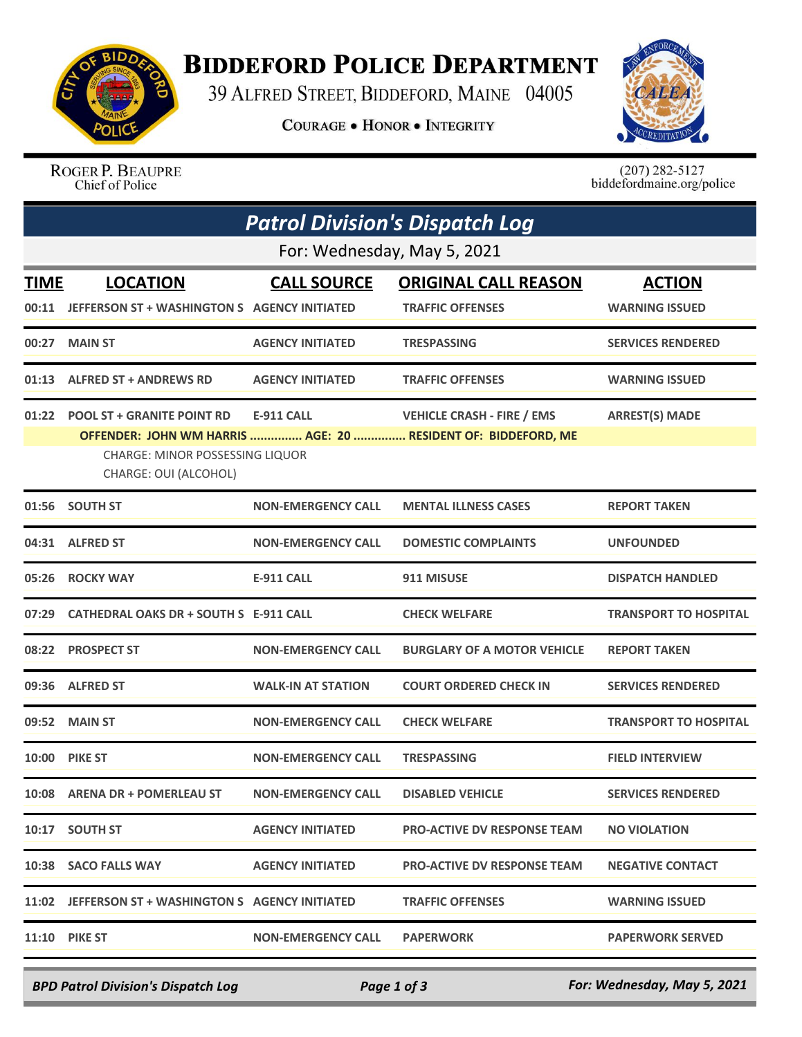

## **BIDDEFORD POLICE DEPARTMENT**

39 ALFRED STREET, BIDDEFORD, MAINE 04005

**COURAGE . HONOR . INTEGRITY** 



ROGER P. BEAUPRE Chief of Police

 $(207)$  282-5127<br>biddefordmaine.org/police

| <b>Patrol Division's Dispatch Log</b> |                                                                                                     |                           |                                                                                                    |                                        |  |  |  |
|---------------------------------------|-----------------------------------------------------------------------------------------------------|---------------------------|----------------------------------------------------------------------------------------------------|----------------------------------------|--|--|--|
| For: Wednesday, May 5, 2021           |                                                                                                     |                           |                                                                                                    |                                        |  |  |  |
| <b>TIME</b>                           | <b>LOCATION</b><br>00:11 JEFFERSON ST + WASHINGTON S AGENCY INITIATED                               | <b>CALL SOURCE</b>        | <b>ORIGINAL CALL REASON</b><br><b>TRAFFIC OFFENSES</b>                                             | <b>ACTION</b><br><b>WARNING ISSUED</b> |  |  |  |
|                                       | 00:27 MAIN ST                                                                                       | <b>AGENCY INITIATED</b>   | <b>TRESPASSING</b>                                                                                 | <b>SERVICES RENDERED</b>               |  |  |  |
|                                       | 01:13 ALFRED ST + ANDREWS RD                                                                        | <b>AGENCY INITIATED</b>   | <b>TRAFFIC OFFENSES</b>                                                                            | <b>WARNING ISSUED</b>                  |  |  |  |
|                                       | 01:22 POOL ST + GRANITE POINT RD<br><b>CHARGE: MINOR POSSESSING LIQUOR</b><br>CHARGE: OUI (ALCOHOL) | <b>E-911 CALL</b>         | <b>VEHICLE CRASH - FIRE / EMS</b><br>OFFENDER: JOHN WM HARRIS  AGE: 20  RESIDENT OF: BIDDEFORD, ME | <b>ARREST(S) MADE</b>                  |  |  |  |
|                                       | 01:56 SOUTH ST                                                                                      | <b>NON-EMERGENCY CALL</b> | <b>MENTAL ILLNESS CASES</b>                                                                        | <b>REPORT TAKEN</b>                    |  |  |  |
|                                       | 04:31 ALFRED ST                                                                                     | <b>NON-EMERGENCY CALL</b> | <b>DOMESTIC COMPLAINTS</b>                                                                         | <b>UNFOUNDED</b>                       |  |  |  |
|                                       | 05:26 ROCKY WAY                                                                                     | <b>E-911 CALL</b>         | 911 MISUSE                                                                                         | <b>DISPATCH HANDLED</b>                |  |  |  |
|                                       | 07:29 CATHEDRAL OAKS DR + SOUTH S E-911 CALL                                                        |                           | <b>CHECK WELFARE</b>                                                                               | <b>TRANSPORT TO HOSPITAL</b>           |  |  |  |
|                                       | 08:22 PROSPECT ST                                                                                   | <b>NON-EMERGENCY CALL</b> | <b>BURGLARY OF A MOTOR VEHICLE</b>                                                                 | <b>REPORT TAKEN</b>                    |  |  |  |
|                                       | 09:36 ALFRED ST                                                                                     | <b>WALK-IN AT STATION</b> | <b>COURT ORDERED CHECK IN</b>                                                                      | <b>SERVICES RENDERED</b>               |  |  |  |
|                                       | 09:52 MAIN ST                                                                                       | <b>NON-EMERGENCY CALL</b> | <b>CHECK WELFARE</b>                                                                               | <b>TRANSPORT TO HOSPITAL</b>           |  |  |  |
|                                       | <b>10:00 PIKE ST</b>                                                                                | <b>NON-EMERGENCY CALL</b> | <b>TRESPASSING</b>                                                                                 | <b>FIELD INTERVIEW</b>                 |  |  |  |
|                                       | 10:08 ARENA DR + POMERLEAU ST NON-EMERGENCY CALL                                                    |                           | <b>DISABLED VEHICLE</b>                                                                            | <b>SERVICES RENDERED</b>               |  |  |  |
|                                       | 10:17 SOUTH ST                                                                                      | <b>AGENCY INITIATED</b>   | <b>PRO-ACTIVE DV RESPONSE TEAM</b>                                                                 | <b>NO VIOLATION</b>                    |  |  |  |
|                                       | 10:38 SACO FALLS WAY                                                                                | <b>AGENCY INITIATED</b>   | <b>PRO-ACTIVE DV RESPONSE TEAM</b>                                                                 | <b>NEGATIVE CONTACT</b>                |  |  |  |
|                                       | 11:02 JEFFERSON ST + WASHINGTON S AGENCY INITIATED                                                  |                           | <b>TRAFFIC OFFENSES</b>                                                                            | <b>WARNING ISSUED</b>                  |  |  |  |
|                                       | <b>11:10 PIKE ST</b>                                                                                | <b>NON-EMERGENCY CALL</b> | <b>PAPERWORK</b>                                                                                   | <b>PAPERWORK SERVED</b>                |  |  |  |

*BPD Patrol Division's Dispatch Log Page 1 of 3 For: Wednesday, May 5, 2021*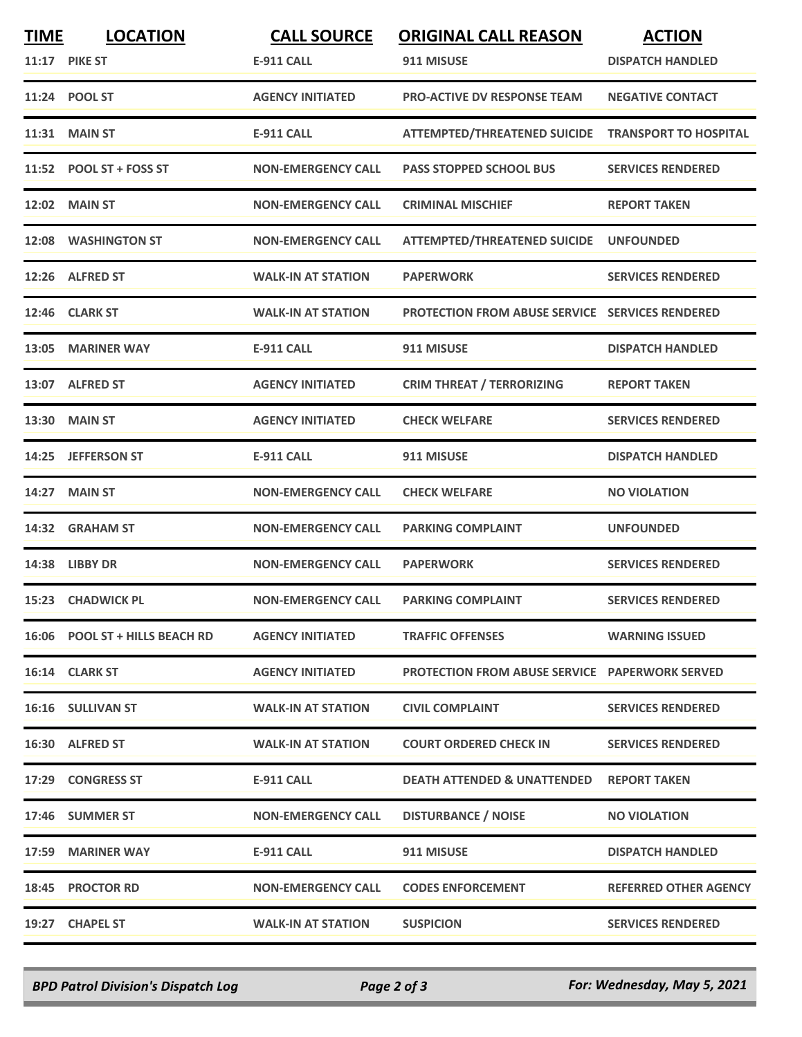| <b>TIME</b> | <b>LOCATION</b>                | <b>CALL SOURCE</b>        | <b>ORIGINAL CALL REASON</b>                            | <b>ACTION</b>                |
|-------------|--------------------------------|---------------------------|--------------------------------------------------------|------------------------------|
|             | <b>11:17 PIKE ST</b>           | <b>E-911 CALL</b>         | 911 MISUSE                                             | <b>DISPATCH HANDLED</b>      |
|             | 11:24 POOL ST                  | <b>AGENCY INITIATED</b>   | <b>PRO-ACTIVE DV RESPONSE TEAM</b>                     | <b>NEGATIVE CONTACT</b>      |
|             | <b>11:31 MAIN ST</b>           | <b>E-911 CALL</b>         | ATTEMPTED/THREATENED SUICIDE TRANSPORT TO HOSPITAL     |                              |
|             | 11:52 POOL ST + FOSS ST        | <b>NON-EMERGENCY CALL</b> | <b>PASS STOPPED SCHOOL BUS</b>                         | <b>SERVICES RENDERED</b>     |
|             | <b>12:02 MAIN ST</b>           | <b>NON-EMERGENCY CALL</b> | <b>CRIMINAL MISCHIEF</b>                               | <b>REPORT TAKEN</b>          |
|             | 12:08 WASHINGTON ST            | <b>NON-EMERGENCY CALL</b> | ATTEMPTED/THREATENED SUICIDE UNFOUNDED                 |                              |
|             | 12:26 ALFRED ST                | <b>WALK-IN AT STATION</b> | <b>PAPERWORK</b>                                       | <b>SERVICES RENDERED</b>     |
|             | 12:46 CLARK ST                 | <b>WALK-IN AT STATION</b> | <b>PROTECTION FROM ABUSE SERVICE SERVICES RENDERED</b> |                              |
|             | 13:05 MARINER WAY              | E-911 CALL                | 911 MISUSE                                             | <b>DISPATCH HANDLED</b>      |
|             | 13:07 ALFRED ST                | <b>AGENCY INITIATED</b>   | <b>CRIM THREAT / TERRORIZING</b>                       | <b>REPORT TAKEN</b>          |
|             | 13:30 MAIN ST                  | <b>AGENCY INITIATED</b>   | <b>CHECK WELFARE</b>                                   | <b>SERVICES RENDERED</b>     |
| 14:25       | <b>JEFFERSON ST</b>            | <b>E-911 CALL</b>         | 911 MISUSE                                             | <b>DISPATCH HANDLED</b>      |
| 14:27       | <b>MAIN ST</b>                 | <b>NON-EMERGENCY CALL</b> | <b>CHECK WELFARE</b>                                   | <b>NO VIOLATION</b>          |
|             | 14:32 GRAHAM ST                | <b>NON-EMERGENCY CALL</b> | <b>PARKING COMPLAINT</b>                               | <b>UNFOUNDED</b>             |
|             | 14:38 LIBBY DR                 | <b>NON-EMERGENCY CALL</b> | <b>PAPERWORK</b>                                       | <b>SERVICES RENDERED</b>     |
|             | 15:23 CHADWICK PL              | <b>NON-EMERGENCY CALL</b> | <b>PARKING COMPLAINT</b>                               | <b>SERVICES RENDERED</b>     |
|             | 16:06 POOL ST + HILLS BEACH RD | <b>AGENCY INITIATED</b>   | <b>TRAFFIC OFFENSES</b>                                | <b>WARNING ISSUED</b>        |
|             | 16:14 CLARK ST                 | <b>AGENCY INITIATED</b>   | <b>PROTECTION FROM ABUSE SERVICE PAPERWORK SERVED</b>  |                              |
|             | 16:16 SULLIVAN ST              | <b>WALK-IN AT STATION</b> | <b>CIVIL COMPLAINT</b>                                 | <b>SERVICES RENDERED</b>     |
|             | 16:30 ALFRED ST                | <b>WALK-IN AT STATION</b> | <b>COURT ORDERED CHECK IN</b>                          | <b>SERVICES RENDERED</b>     |
|             | 17:29 CONGRESS ST              | <b>E-911 CALL</b>         | <b>DEATH ATTENDED &amp; UNATTENDED</b>                 | <b>REPORT TAKEN</b>          |
|             | 17:46 SUMMER ST                | <b>NON-EMERGENCY CALL</b> | <b>DISTURBANCE / NOISE</b>                             | <b>NO VIOLATION</b>          |
|             | 17:59 MARINER WAY              | E-911 CALL                | 911 MISUSE                                             | <b>DISPATCH HANDLED</b>      |
|             | 18:45 PROCTOR RD               | <b>NON-EMERGENCY CALL</b> | <b>CODES ENFORCEMENT</b>                               | <b>REFERRED OTHER AGENCY</b> |
|             | 19:27 CHAPEL ST                | <b>WALK-IN AT STATION</b> | <b>SUSPICION</b>                                       | <b>SERVICES RENDERED</b>     |

*BPD Patrol Division's Dispatch Log Page 2 of 3 For: Wednesday, May 5, 2021*